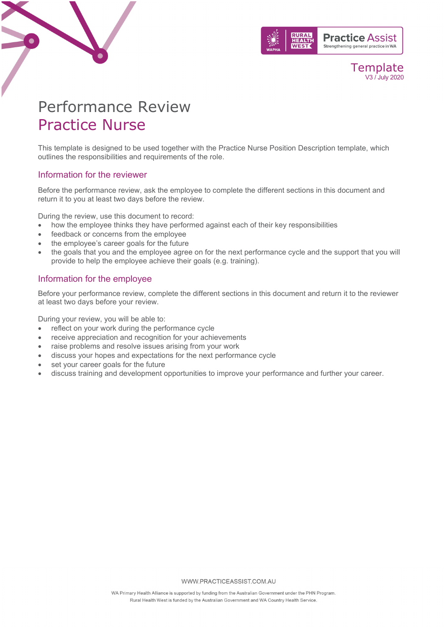

#### Template V3 / July 2020

# Performance Review Practice Nurse

This template is designed to be used together with the Practice Nurse Position Description template, which outlines the responsibilities and requirements of the role.

#### Information for the reviewer

Before the performance review, ask the employee to complete the different sections in this document and return it to you at least two days before the review.

During the review, use this document to record:

- how the employee thinks they have performed against each of their key responsibilities
- feedback or concerns from the employee
- the employee's career goals for the future
- the goals that you and the employee agree on for the next performance cycle and the support that you will provide to help the employee achieve their goals (e.g. training).

#### Information for the employee

Before your performance review, complete the different sections in this document and return it to the reviewer at least two days before your review.

During your review, you will be able to:

- reflect on your work during the performance cycle
- receive appreciation and recognition for your achievements
- raise problems and resolve issues arising from your work
- discuss your hopes and expectations for the next performance cycle
- set your career goals for the future
- discuss training and development opportunities to improve your performance and further your career.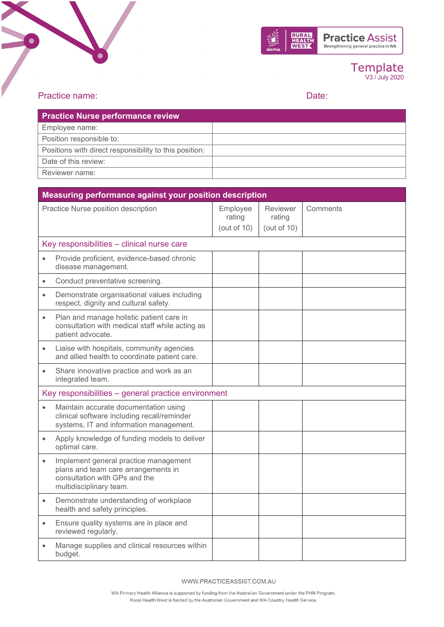



### Template V3 / July 2020

### Practice name: Date: Date: Date: Date: Date: Date: Date: Date: Date: Date: Date: Date: Date: Date: Date: Date: Date: Date: Date: Date: Date: Date: Date: Date: Date: Date: Date: Date: Date: Date: Date: Date: Date: Date: Dat

| <b>Practice Nurse performance review</b>               |  |
|--------------------------------------------------------|--|
| Employee name:                                         |  |
| Position responsible to:                               |  |
| Positions with direct responsibility to this position: |  |
| Date of this review:                                   |  |
| Reviewer name:                                         |  |

|                                                     | Measuring performance against your position description                                                                                  |                                      |                                      |          |  |
|-----------------------------------------------------|------------------------------------------------------------------------------------------------------------------------------------------|--------------------------------------|--------------------------------------|----------|--|
| Practice Nurse position description                 |                                                                                                                                          | Employee<br>rating<br>(out of $10$ ) | Reviewer<br>rating<br>(out of $10$ ) | Comments |  |
|                                                     | Key responsibilities - clinical nurse care                                                                                               |                                      |                                      |          |  |
| $\bullet$                                           | Provide proficient, evidence-based chronic<br>disease management.                                                                        |                                      |                                      |          |  |
| $\bullet$                                           | Conduct preventative screening.                                                                                                          |                                      |                                      |          |  |
| $\bullet$                                           | Demonstrate organisational values including<br>respect, dignity and cultural safety.                                                     |                                      |                                      |          |  |
| $\bullet$                                           | Plan and manage holistic patient care in<br>consultation with medical staff while acting as<br>patient advocate.                         |                                      |                                      |          |  |
| $\bullet$                                           | Liaise with hospitals, community agencies<br>and allied health to coordinate patient care.                                               |                                      |                                      |          |  |
| $\bullet$                                           | Share innovative practice and work as an<br>integrated team.                                                                             |                                      |                                      |          |  |
| Key responsibilities - general practice environment |                                                                                                                                          |                                      |                                      |          |  |
| $\bullet$                                           | Maintain accurate documentation using<br>clinical software including recall/reminder<br>systems, IT and information management.          |                                      |                                      |          |  |
| $\bullet$                                           | Apply knowledge of funding models to deliver<br>optimal care.                                                                            |                                      |                                      |          |  |
| $\bullet$                                           | Implement general practice management<br>plans and team care arrangements in<br>consultation with GPs and the<br>multidisciplinary team. |                                      |                                      |          |  |
| $\bullet$                                           | Demonstrate understanding of workplace<br>health and safety principles.                                                                  |                                      |                                      |          |  |
| $\bullet$                                           | Ensure quality systems are in place and<br>reviewed regularly.                                                                           |                                      |                                      |          |  |
|                                                     | Manage supplies and clinical resources within<br>budget.                                                                                 |                                      |                                      |          |  |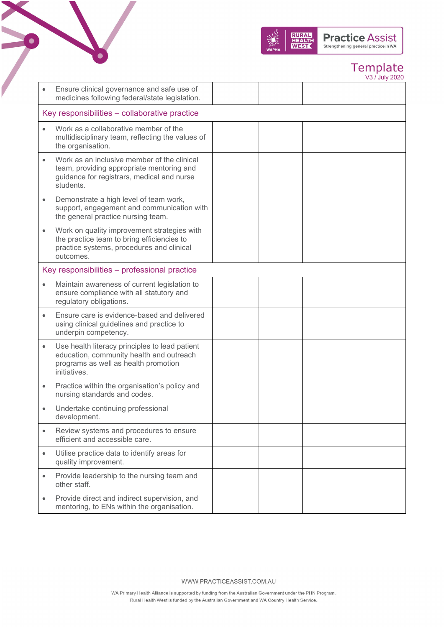

# Template

|           |                                                                                                                                                     |  | V3 / July 2020 |
|-----------|-----------------------------------------------------------------------------------------------------------------------------------------------------|--|----------------|
|           | Ensure clinical governance and safe use of<br>medicines following federal/state legislation.                                                        |  |                |
|           | Key responsibilities – collaborative practice                                                                                                       |  |                |
|           | Work as a collaborative member of the<br>multidisciplinary team, reflecting the values of<br>the organisation.                                      |  |                |
|           | Work as an inclusive member of the clinical<br>team, providing appropriate mentoring and<br>guidance for registrars, medical and nurse<br>students  |  |                |
|           | Demonstrate a high level of team work,<br>support, engagement and communication with<br>the general practice nursing team.                          |  |                |
|           | Work on quality improvement strategies with<br>the practice team to bring efficiencies to<br>practice systems, procedures and clinical<br>outcomes. |  |                |
|           | Key responsibilities - professional practice                                                                                                        |  |                |
|           | Maintain awareness of current legislation to<br>ensure compliance with all statutory and<br>regulatory obligations.                                 |  |                |
|           | Ensure care is evidence-based and delivered<br>using clinical guidelines and practice to<br>underpin competency.                                    |  |                |
| $\bullet$ | Use health literacy principles to lead patient<br>education, community health and outreach<br>programs as well as health promotion<br>initiatives.  |  |                |
| $\bullet$ | Practice within the organisation's policy and<br>nursing standards and codes.                                                                       |  |                |
|           | Undertake continuing professional<br>development.                                                                                                   |  |                |
| $\bullet$ | Review systems and procedures to ensure<br>efficient and accessible care.                                                                           |  |                |
| $\bullet$ | Utilise practice data to identify areas for<br>quality improvement.                                                                                 |  |                |
| $\bullet$ | Provide leadership to the nursing team and<br>other staff.                                                                                          |  |                |
|           | Provide direct and indirect supervision, and<br>mentoring, to ENs within the organisation.                                                          |  |                |
|           |                                                                                                                                                     |  |                |

 $\bullet$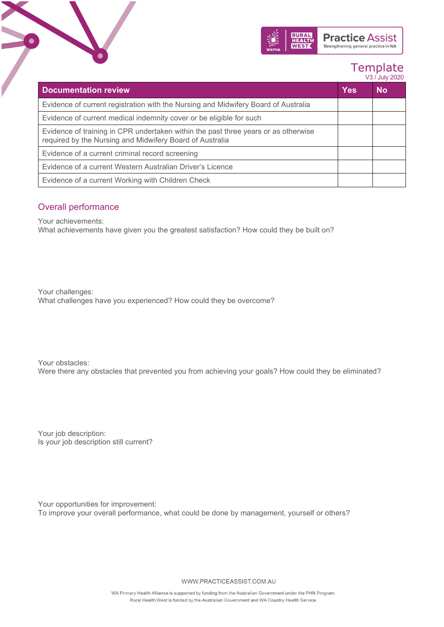

# Template

|                                                                                                                                                |            | V3 / July 2020 |
|------------------------------------------------------------------------------------------------------------------------------------------------|------------|----------------|
| <b>Documentation review</b>                                                                                                                    | <b>Yes</b> | <b>No</b>      |
| Evidence of current registration with the Nursing and Midwifery Board of Australia                                                             |            |                |
| Evidence of current medical indemnity cover or be eligible for such                                                                            |            |                |
| Evidence of training in CPR undertaken within the past three years or as otherwise<br>required by the Nursing and Midwifery Board of Australia |            |                |
| Evidence of a current criminal record screening                                                                                                |            |                |
| Evidence of a current Western Australian Driver's Licence                                                                                      |            |                |
| Evidence of a current Working with Children Check                                                                                              |            |                |

### Overall performance

Your achievements:

What achievements have given you the greatest satisfaction? How could they be built on?

Your challenges: What challenges have you experienced? How could they be overcome?

Your obstacles: Were there any obstacles that prevented you from achieving your goals? How could they be eliminated?

Your job description: Is your job description still current?

Your opportunities for improvement: To improve your overall performance, what could be done by management, yourself or others?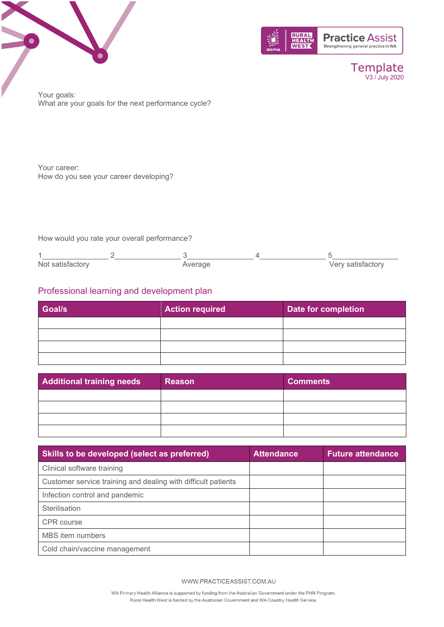



Template V3 / July 2020

Your goals: What are your goals for the next performance cycle?

Your career: How do you see your career developing?

How would you rate your overall performance?

| Not satisfactory | Verage<br>$\sim$ $\sim$ $\sim$ $\sim$ | Verv satisfactory |
|------------------|---------------------------------------|-------------------|

### Professional learning and development plan

| <b>Goal/s</b> | <b>Action required</b> | Date for completion |
|---------------|------------------------|---------------------|
|               |                        |                     |
|               |                        |                     |
|               |                        |                     |
|               |                        |                     |

| Additional training needs | <b>Reason</b> | <b>Comments</b> |
|---------------------------|---------------|-----------------|
|                           |               |                 |
|                           |               |                 |
|                           |               |                 |
|                           |               |                 |

| Skills to be developed (select as preferred)                  | <b>Attendance</b> | <b>Future attendance</b> |
|---------------------------------------------------------------|-------------------|--------------------------|
| Clinical software training                                    |                   |                          |
| Customer service training and dealing with difficult patients |                   |                          |
| Infection control and pandemic                                |                   |                          |
| Sterilisation                                                 |                   |                          |
| CPR course                                                    |                   |                          |
| <b>MBS</b> item numbers                                       |                   |                          |
| Cold chain/vaccine management                                 |                   |                          |